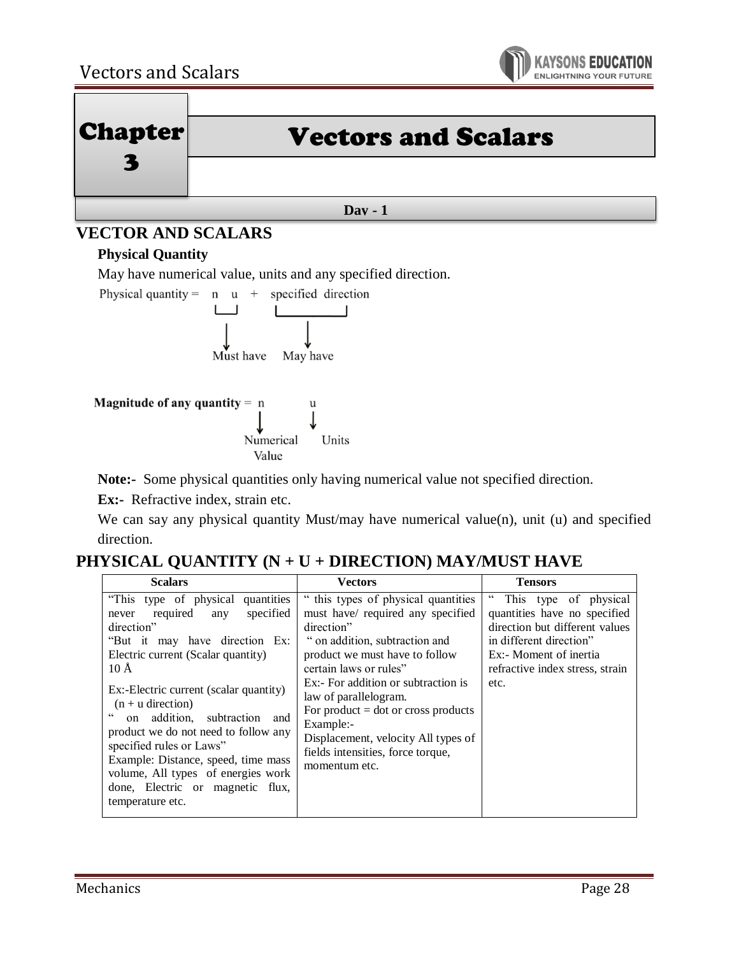



# **VECTOR AND SCALARS**

### **Physical Quantity**

May have numerical value, units and any specified direction.



**Note:-** Some physical quantities only having numerical value not specified direction.

**Ex:**- Refractive index, strain etc.

We can say any physical quantity Must/may have numerical value(n), unit (u) and specified direction.

# **PHYSICAL QUANTITY (N + U + DIRECTION) MAY/MUST HAVE**

| <b>Scalars</b>                                                                                                                                                                                                                                                                                                                                                                                                                                                                                                 | Vectors                                                                                                                                                                                                                                                                                                                                                                                                 | <b>Tensors</b>                                                                                                                                                                                        |
|----------------------------------------------------------------------------------------------------------------------------------------------------------------------------------------------------------------------------------------------------------------------------------------------------------------------------------------------------------------------------------------------------------------------------------------------------------------------------------------------------------------|---------------------------------------------------------------------------------------------------------------------------------------------------------------------------------------------------------------------------------------------------------------------------------------------------------------------------------------------------------------------------------------------------------|-------------------------------------------------------------------------------------------------------------------------------------------------------------------------------------------------------|
| "This type of physical quantities"<br>specified<br>required<br>any<br>never<br>direction"<br>"But it may have direction Ex:<br>Electric current (Scalar quantity)<br>$10 \text{ Å}$<br>Ex:-Electric current (scalar quantity)<br>$(n + u$ direction)<br>$\epsilon$<br>on addition.<br>subtraction and<br>product we do not need to follow any<br>specified rules or Laws"<br>Example: Distance, speed, time mass<br>volume, All types of energies work<br>done, Electric or magnetic flux,<br>temperature etc. | " this types of physical quantities<br>must have/ required any specified<br>direction"<br>" on addition, subtraction and<br>product we must have to follow<br>certain laws or rules"<br>Ex:- For addition or subtraction is<br>law of parallelogram.<br>For product $=$ dot or cross products<br>Example:-<br>Displacement, velocity All types of<br>fields intensities, force torque,<br>momentum etc. | $\epsilon$<br>This type of physical<br>quantities have no specified<br>direction but different values<br>in different direction"<br>Ex:- Moment of inertia<br>refractive index stress, strain<br>etc. |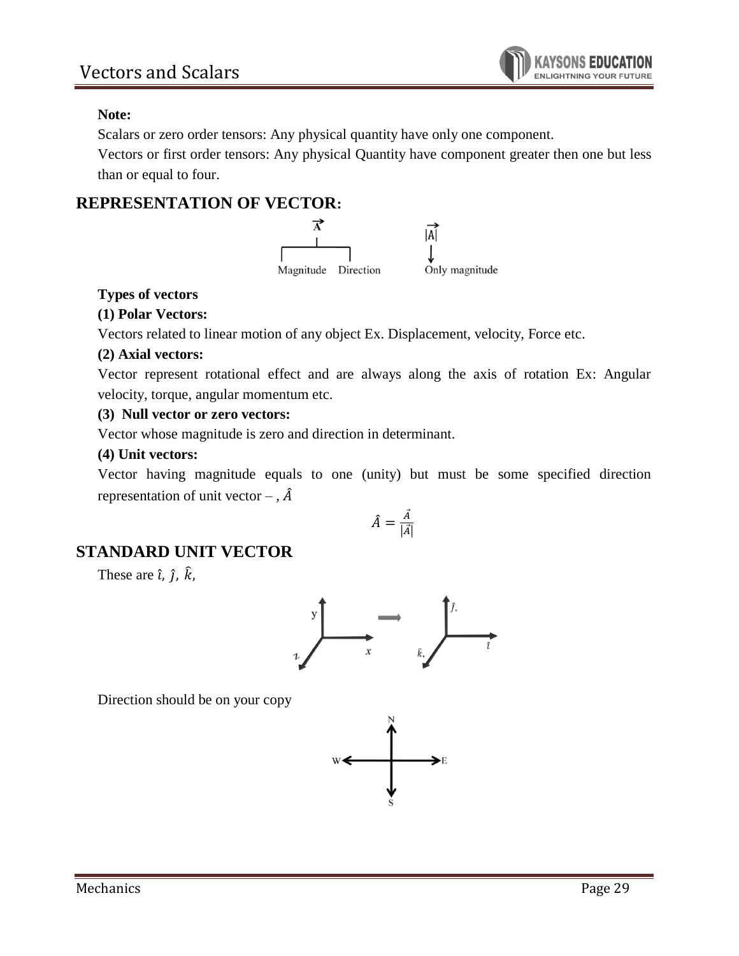

#### **Note:**

Scalars or zero order tensors: Any physical quantity have only one component.

Vectors or first order tensors: Any physical Quantity have component greater then one but less than or equal to four.

### **REPRESENTATION OF VECTOR:**



### **Types of vectors**

#### **(1) Polar Vectors:**

Vectors related to linear motion of any object Ex. Displacement, velocity, Force etc.

#### **(2) Axial vectors:**

Vector represent rotational effect and are always along the axis of rotation Ex: Angular velocity, torque, angular momentum etc.

#### **(3) Null vector or zero vectors:**

Vector whose magnitude is zero and direction in determinant.

#### **(4) Unit vectors:**

Vector having magnitude equals to one (unity) but must be some specified direction representation of unit vector – ,  $\hat{A}$ 

$$
\hat{A} = \frac{\vec{A}}{|\vec{A}|}
$$

### **STANDARD UNIT VECTOR**

These are  $\hat{i}$ ,  $\hat{j}$ ,  $\hat{k}$ ,



Direction should be on your copy

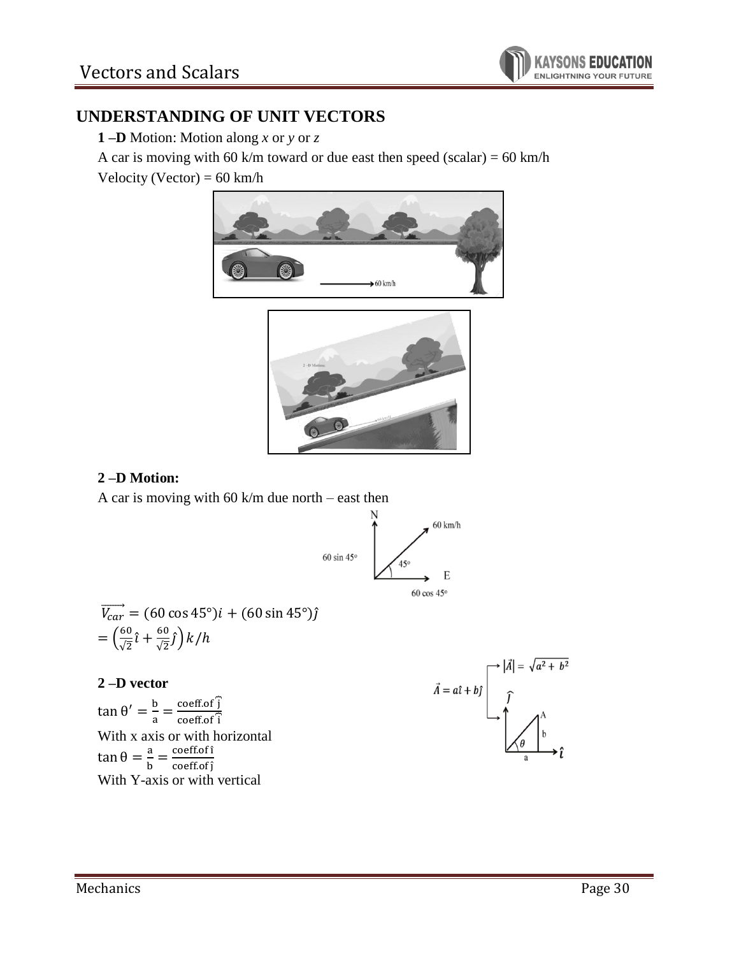

## **UNDERSTANDING OF UNIT VECTORS**

**1 –D** Motion: Motion along *x* or *y* or *z*

A car is moving with 60 k/m toward or due east then speed (scalar) =  $60 \text{ km/h}$ 

Velocity (Vector) =  $60 \text{ km/h}$ 





### **2 –D Motion:**

A car is moving with 60 k/m due north – east then



$$
\overrightarrow{V_{car}} = (60 \cos 45^\circ)i + (60 \sin 45^\circ)\hat{j}
$$

$$
= \left(\frac{60}{\sqrt{2}}\hat{i} + \frac{60}{\sqrt{2}}\hat{j}\right)k/h
$$

#### **2 –D vector**

tan θ' =  $\frac{b}{a}$  $\frac{b}{a} = \frac{\text{coeff.of } \hat{j}}{\text{coeff.of } \hat{i}}$  $coeff.$ of $\widehat{i}$ With x axis or with horizontal tan θ =  $\frac{a}{b}$  $\frac{a}{b} = \frac{\text{coeff.of} \hat{i}}{\text{coeff.of} \hat{j}}$ coeff.of ĵ With Y-axis or with vertical

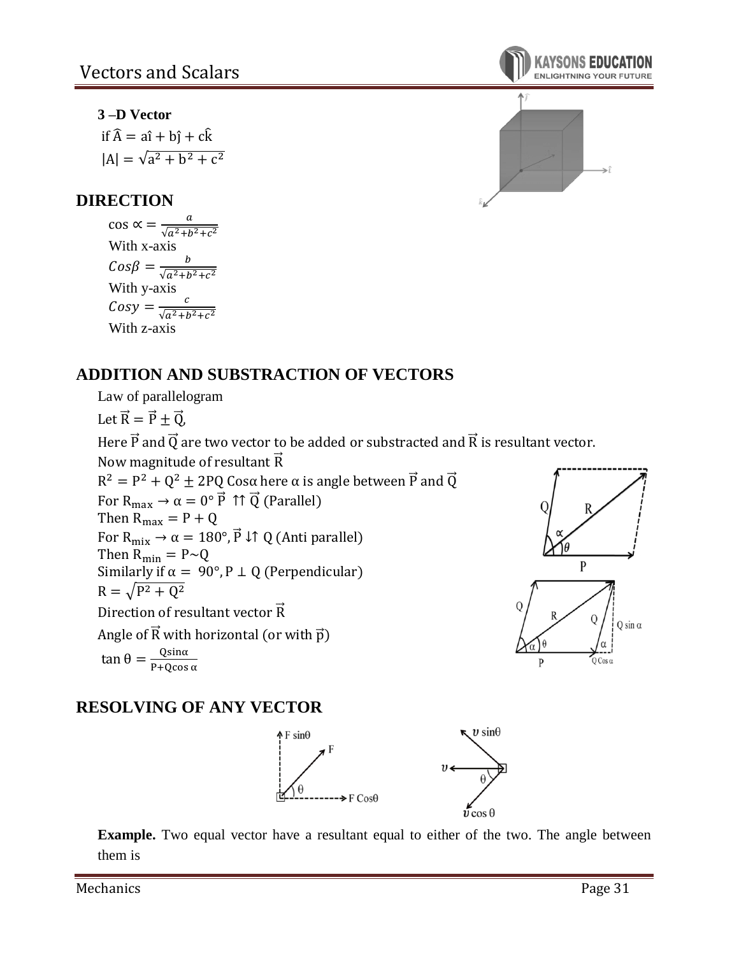### **3 –D Vector**

if  $\hat{A} = a\hat{i} + b\hat{j} + c\hat{k}$  $|A| = \sqrt{a^2 + b^2 + c^2}$ 

# **DIRECTION**

 $\cos \alpha = \frac{a}{\sqrt{a^2+b^2}}$  $\sqrt{a^2+b^2+c^2}$ With x-axis  $Cos\beta = \frac{b}{\sqrt{a^2+b^2}}$  $\sqrt{a^2+b^2+c^2}$ With y-axis  $Cosy = \frac{c}{\sqrt{c^2 + b^2}}$  $\sqrt{a^2+b^2+c^2}$ With z-axis

# **ADDITION AND SUBSTRACTION OF VECTORS**

Law of parallelogram

Let  $\vec{R} = \vec{P} \pm \vec{Q}$ ,

Here  $\vec{P}$  and  $\vec{Q}$  are two vector to be added or substracted and  $\vec{R}$  is resultant vector.

Now magnitude of resultant  $\vec{R}$ 

 $R^2 = P^2 + Q^2 \pm 2PQ$  Cosα here α is angle between  $\vec{P}$  and  $\vec{Q}$ For  $R_{max} \rightarrow \alpha = 0^{\circ} \vec{P}$  ↑↑  $\vec{Q}$  (Parallel) Then  $R_{\text{max}} = P + Q$ For  $R_{mix} \rightarrow \alpha = 180^\circ$ ,  $\vec{P} \downarrow \uparrow Q$  (Anti parallel) Then  $R_{\min} = P \sim Q$ Similarly if  $\alpha = 90^{\circ}, P \perp Q$  (Perpendicular)  $R = \sqrt{P^2 + Q^2}$ Direction of resultant vector  $\vec{R}$ Angle of  $\vec{R}$  with horizontal (or with  $\vec{p}$ ) tan θ =  $\frac{Q\sin\alpha}{R + Q\cos\alpha}$ P+Qcos α





# **RESOLVING OF ANY VECTOR**



**Example.** Two equal vector have a resultant equal to either of the two. The angle between them is

Mechanics **Page 31**